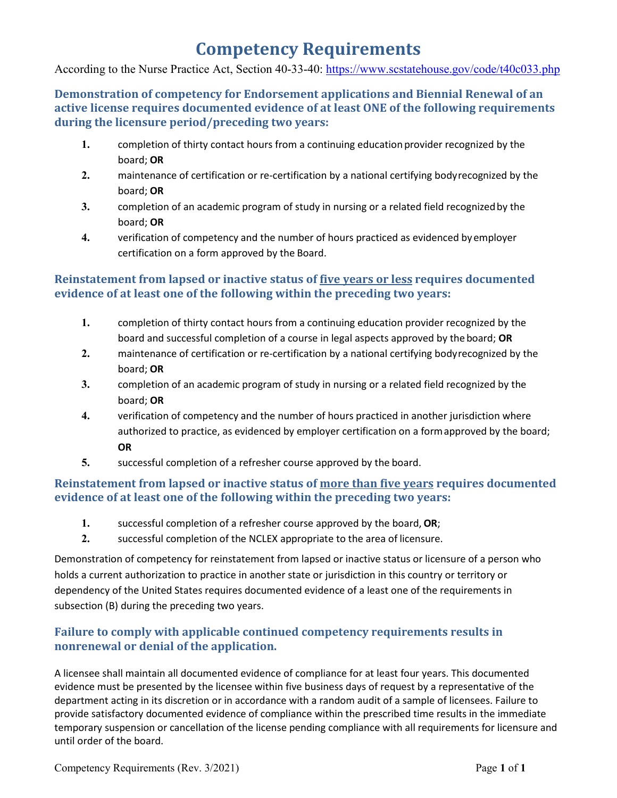# **Competency Requirements**

According to the Nurse Practice Act, Section 40-33-40:<https://www.scstatehouse.gov/code/t40c033.php>

**Demonstration of competency for Endorsement applications and Biennial Renewal of an active license requires documented evidence of at least ONE of the following requirements during the licensure period/preceding two years:**

- 1. completion of thirty contact hours from a continuing education provider recognized by the board; **OR**
- **2.** maintenance of certification or re-certification by a national certifying bodyrecognized by the board; **OR**
- **3.** completion of an academic program of study in nursing or a related field recognizedby the board; **OR**
- **4.** verification of competency and the number of hours practiced as evidenced by employer certification on a form approved by the Board.

## **Reinstatement from lapsed or inactive status of five years or less requires documented evidence of at least one of the following within the preceding two years:**

- **1.** completion of thirty contact hours from a continuing education provider recognized by the board and successful completion of a course in legal aspects approved by the board; **OR**
- **2.** maintenance of certification or re-certification by a national certifying bodyrecognized by the board; **OR**
- **3.** completion of an academic program of study in nursing or a related field recognized by the board; **OR**
- **4.** verification of competency and the number of hours practiced in another jurisdiction where authorized to practice, as evidenced by employer certification on a formapproved by the board; **OR**
- **5.** successful completion of a refresher course approved by the board.

## **Reinstatement from lapsed or inactive status of more than five years requires documented evidence of at least one of the following within the preceding two years:**

- **1.** successful completion of a refresher course approved by the board, **OR**;
- **2.** successful completion of the NCLEX appropriate to the area of licensure.

Demonstration of competency for reinstatement from lapsed or inactive status or licensure of a person who holds a current authorization to practice in another state or jurisdiction in this country or territory or dependency of the United States requires documented evidence of a least one of the requirements in subsection (B) during the preceding two years.

## **Failure to comply with applicable continued competency requirements results in nonrenewal or denial of the application.**

A licensee shall maintain all documented evidence of compliance for at least four years. This documented evidence must be presented by the licensee within five business days of request by a representative of the department acting in its discretion or in accordance with a random audit of a sample of licensees. Failure to provide satisfactory documented evidence of compliance within the prescribed time results in the immediate temporary suspension or cancellation of the license pending compliance with all requirements for licensure and until order of the board.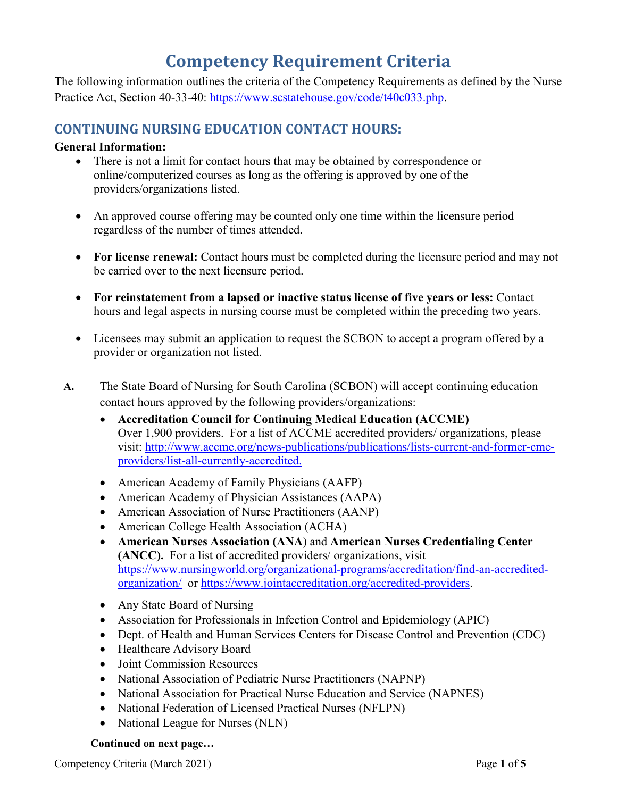# **Competency Requirement Criteria**

The following information outlines the criteria of the Competency Requirements as defined by the Nurse Practice Act, Section 40-33-40: [https://www.scstatehouse.gov/code/t40c033.php.](https://www.scstatehouse.gov/code/t40c033.php)

# **CONTINUING NURSING EDUCATION CONTACT HOURS:**

### **General Information:**

- There is not a limit for contact hours that may be obtained by correspondence or online/computerized courses as long as the offering is approved by one of the providers/organizations listed.
- An approved course offering may be counted only one time within the licensure period regardless of the number of times attended.
- **For license renewal:** Contact hours must be completed during the licensure period and may not be carried over to the next licensure period.
- **For reinstatement from a lapsed or inactive status license of five years or less:** Contact hours and legal aspects in nursing course must be completed within the preceding two years.
- Licensees may submit an application to request the SCBON to accept a program offered by a provider or organization not listed.
- **A.** The State Board of Nursing for South Carolina (SCBON) will accept continuing education contact hours approved by the following providers/organizations:
	- **Accreditation Council for Continuing Medical Education (ACCME)** Over 1,900 providers. For a list of ACCME accredited providers/ organizations, please visit: [http://www.accme.org/news-publications/publications/lists-current-and-former-cme](http://www.accme.org/news-publications/publications/lists-current-and-former-cme-providers/list-all-currently-accredited)[providers/list-all-currently-accredited.](http://www.accme.org/news-publications/publications/lists-current-and-former-cme-providers/list-all-currently-accredited)
	- American Academy of Family Physicians (AAFP)
	- American Academy of Physician Assistances (AAPA)
	- American Association of Nurse Practitioners (AANP)
	- American College Health Association (ACHA)
	- **American Nurses Association (ANA**) and **American Nurses Credentialing Center (ANCC).** For a list of accredited providers/ organizations, visit [https://www.nursingworld.org/organizational-programs/accreditation/find-an-accredited](https://www.nursingworld.org/organizational-programs/accreditation/find-an-accredited-organization/)[organization/](https://www.nursingworld.org/organizational-programs/accreditation/find-an-accredited-organization/) or [https://www.jointaccreditation.org/accredited-providers.](https://www.jointaccreditation.org/accredited-providers)
	- Any State Board of Nursing
	- Association for Professionals in Infection Control and Epidemiology (APIC)
	- Dept. of Health and Human Services Centers for Disease Control and Prevention (CDC)
	- Healthcare Advisory Board
	- Joint Commission Resources
	- National Association of Pediatric Nurse Practitioners (NAPNP)
	- National Association for Practical Nurse Education and Service (NAPNES)
	- National Federation of Licensed Practical Nurses (NFLPN)
	- National League for Nurses (NLN)

#### **Continued on next page…**

Competency Criteria (March 2021) Page 1 of 5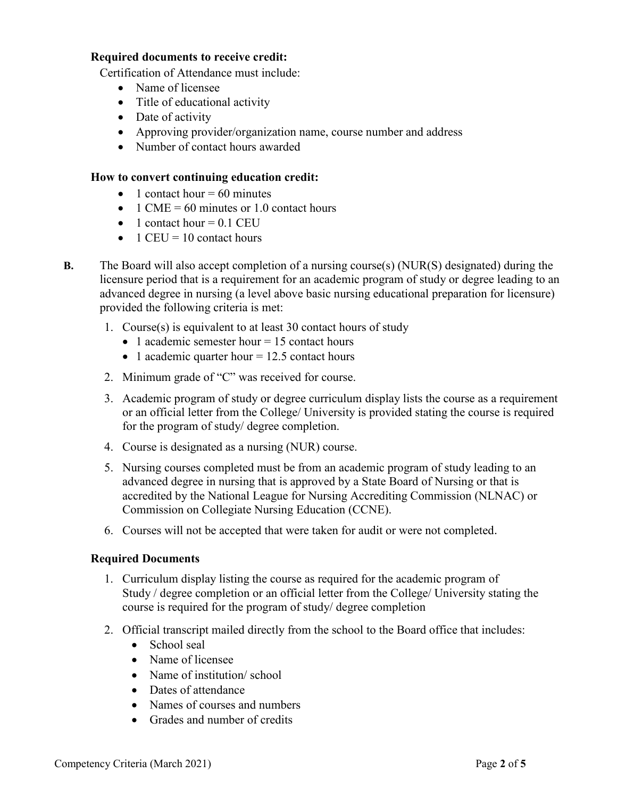#### **Required documents to receive credit:**

Certification of Attendance must include:

- Name of licensee
- Title of educational activity
- Date of activity
- Approving provider/organization name, course number and address
- Number of contact hours awarded

#### **How to convert continuing education credit:**

- 1 contact hour  $= 60$  minutes
- 1 CME = 60 minutes or 1.0 contact hours
- $\bullet$  1 contact hour = 0.1 CEU
- $1$  CEU = 10 contact hours
- **B.** The Board will also accept completion of a nursing course(s) (NUR(S) designated) during the licensure period that is a requirement for an academic program of study or degree leading to an advanced degree in nursing (a level above basic nursing educational preparation for licensure) provided the following criteria is met:
	- 1. Course(s) is equivalent to at least 30 contact hours of study
		- 1 academic semester hour  $= 15$  contact hours
		- 1 academic quarter hour  $= 12.5$  contact hours
	- 2. Minimum grade of "C" was received for course.
	- 3. Academic program of study or degree curriculum display lists the course as a requirement or an official letter from the College/ University is provided stating the course is required for the program of study/ degree completion.
	- 4. Course is designated as a nursing (NUR) course.
	- 5. Nursing courses completed must be from an academic program of study leading to an advanced degree in nursing that is approved by a State Board of Nursing or that is accredited by the National League for Nursing Accrediting Commission (NLNAC) or Commission on Collegiate Nursing Education (CCNE).
	- 6. Courses will not be accepted that were taken for audit or were not completed.

#### **Required Documents**

- 1. Curriculum display listing the course as required for the academic program of Study / degree completion or an official letter from the College/ University stating the course is required for the program of study/ degree completion
- 2. Official transcript mailed directly from the school to the Board office that includes:
	- School seal
	- Name of licensee
	- Name of institution/school
	- Dates of attendance
	- Names of courses and numbers
	- Grades and number of credits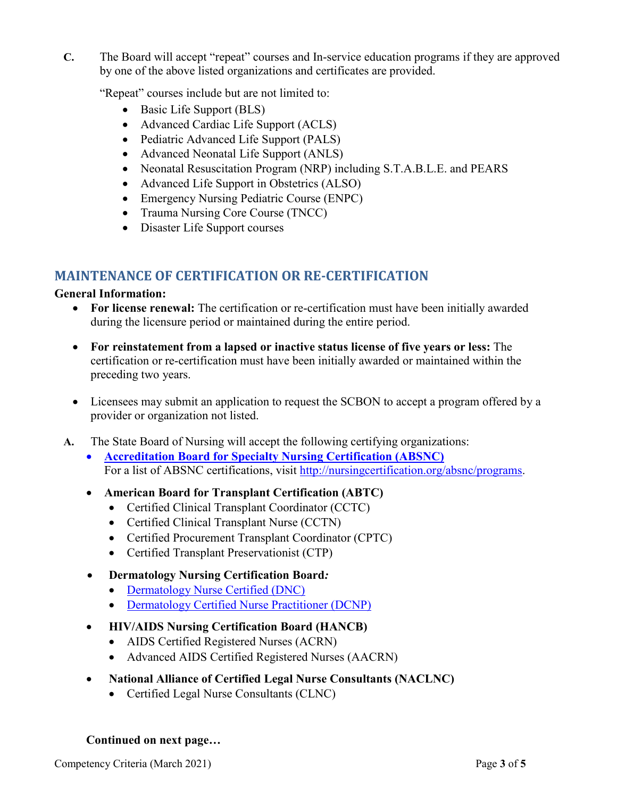**C.** The Board will accept "repeat" courses and In-service education programs if they are approved by one of the above listed organizations and certificates are provided.

"Repeat" courses include but are not limited to:

- Basic Life Support (BLS)
- Advanced Cardiac Life Support (ACLS)
- Pediatric Advanced Life Support (PALS)
- Advanced Neonatal Life Support (ANLS)
- Neonatal Resuscitation Program (NRP) including S.T.A.B.L.E. and PEARS
- Advanced Life Support in Obstetrics (ALSO)
- Emergency Nursing Pediatric Course (ENPC)
- Trauma Nursing Core Course (TNCC)
- Disaster Life Support courses

# **MAINTENANCE OF CERTIFICATION OR RE-CERTIFICATION**

#### **General Information:**

- **For license renewal:** The certification or re-certification must have been initially awarded during the licensure period or maintained during the entire period.
- **For reinstatement from a lapsed or inactive status license of five years or less:** The certification or re-certification must have been initially awarded or maintained within the preceding two years.
- Licensees may submit an application to request the SCBON to accept a program offered by a provider or organization not listed.
- **A.** The State Board of Nursing will accept the following certifying organizations:
	- **[Accreditation Board for Specialty Nursing Certification \(ABSNC\)](http://nursingcertification.org/resources/Documents/absnc/We-are-ABSNC_AboutSheet_FINAL.pdf)** For a list of ABSNC certifications, visit [http://nursingcertification.org/absnc/programs.](http://nursingcertification.org/absnc/programs)
	- **American Board for Transplant Certification (ABTC)**
		- Certified Clinical Transplant Coordinator (CCTC)
		- Certified Clinical Transplant Nurse (CCTN)
		- Certified Procurement Transplant Coordinator (CPTC)
		- Certified Transplant Preservationist (CTP)
	- **Dermatology Nursing Certification Board***:*
		- Dermatology [Nurse Certified \(DNC\)](http://www.dnanurse.org/education/certification.html)
		- [Dermatology Certified Nurse Practitioner \(DCNP\)](http://www.dnanurse.org/education/certification/dcnp-certification.html)
	- **HIV/AIDS Nursing Certification Board (HANCB)**
		- AIDS Certified Registered Nurses (ACRN)
		- Advanced AIDS Certified Registered Nurses (AACRN)
	- **National Alliance of Certified Legal Nurse Consultants (NACLNC)**
		- Certified Legal Nurse Consultants (CLNC)

## **Continued on next page…**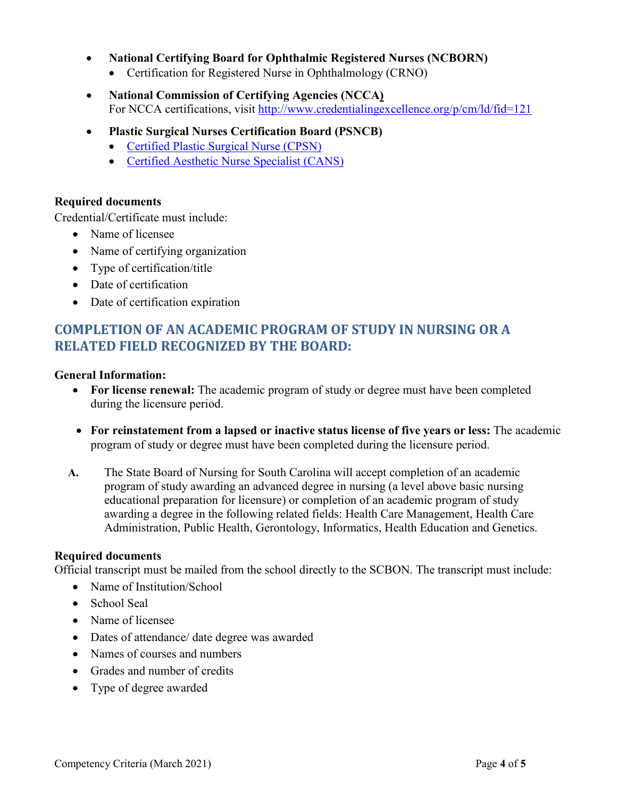- **National Certifying Board for Ophthalmic Registered Nurses (NCBORN)**
	- Certification for Registered Nurse in Ophthalmology (CRNO)
- **National Commission of Certifying Agencies (NCCA)** For NCCA certifications, visit<http://www.credentialingexcellence.org/p/cm/ld/fid=121>
- **Plastic Surgical Nurses Certification Board (PSNCB)**
	- [Certified Plastic Surgical Nurse \(CPSN\)](http://psncb.org/cpsn-exam.cgi)
	- [Certified Aesthetic Nurse Specialist \(CANS\)](http://psncb.org/cans-exam.cgi)

### **Required documents**

Credential/Certificate must include:

- Name of licensee
- Name of certifying organization
- Type of certification/title
- Date of certification
- Date of certification expiration

# **COMPLETION OF AN ACADEMIC PROGRAM OF STUDY IN NURSING OR A RELATED FIELD RECOGNIZED BY THE BOARD:**

#### **General Information:**

- For license renewal: The academic program of study or degree must have been completed during the licensure period.
- **For reinstatement from a lapsed or inactive status license of five years or less:** The academic program of study or degree must have been completed during the licensure period.
- **A.** The State Board of Nursing for South Carolina will accept completion of an academic program of study awarding an advanced degree in nursing (a level above basic nursing educational preparation for licensure) or completion of an academic program of study awarding a degree in the following related fields: Health Care Management, Health Care Administration, Public Health, Gerontology, Informatics, Health Education and Genetics.

#### **Required documents**

Official transcript must be mailed from the school directly to the SCBON. The transcript must include:

- Name of Institution/School
- School Seal
- Name of licensee
- Dates of attendance/ date degree was awarded
- Names of courses and numbers
- Grades and number of credits
- Type of degree awarded